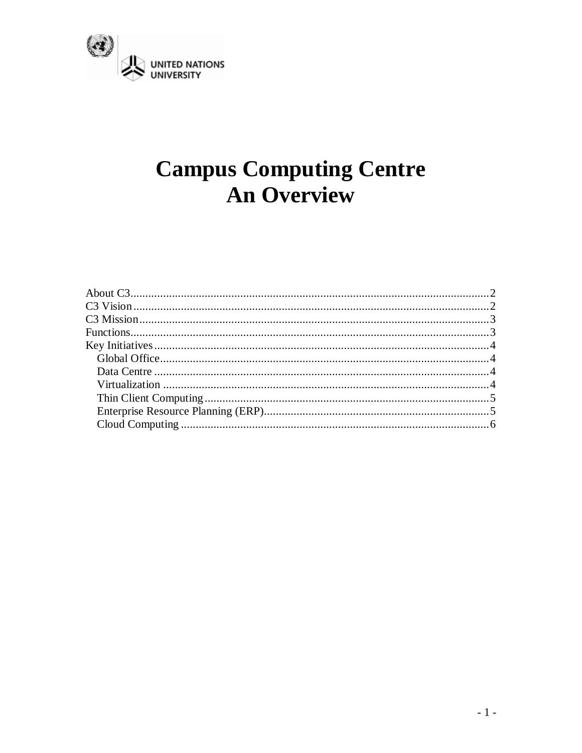

# **Campus Computing Centre An Overview**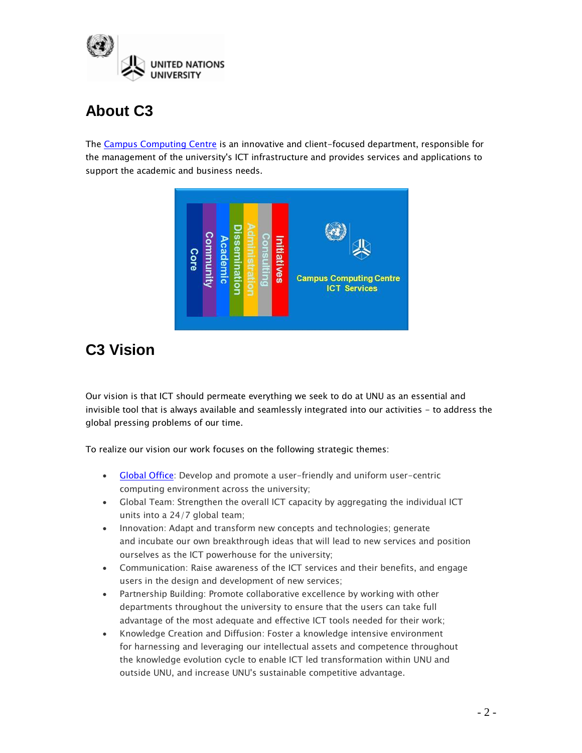

# <span id="page-1-0"></span>**About C3**

The [Campus Computing Centre](http://www.c3.unu.edu/) is an innovative and client-focused department, responsible for the management of the university's ICT infrastructure and provides services and applications to support the academic and business needs.

<span id="page-1-1"></span>

# **C3 Vision**

Our vision is that ICT should permeate everything we seek to do at UNU as an essential and invisible tool that is always available and seamlessly integrated into our activities - to address the global pressing problems of our time.

To realize our vision our work focuses on the following strategic themes:

- [Global Office:](http://www.c3.unu.edu/d57/globalofficevision.pdf) Develop and promote a user-friendly and uniform user-centric computing environment across the university;
- Global Team: Strengthen the overall ICT capacity by aggregating the individual ICT units into a 24/7 global team;
- Innovation: Adapt and transform new concepts and technologies; generate and incubate our own breakthrough ideas that will lead to new services and position ourselves as the ICT powerhouse for the university;
- Communication: Raise awareness of the ICT services and their benefits, and engage users in the design and development of new services;
- Partnership Building: Promote collaborative excellence by working with other departments throughout the university to ensure that the users can take full advantage of the most adequate and effective ICT tools needed for their work;
- Knowledge Creation and Diffusion: Foster a knowledge intensive environment for harnessing and leveraging our intellectual assets and competence throughout the knowledge evolution cycle to enable ICT led transformation within UNU and outside UNU, and increase UNU's sustainable competitive advantage.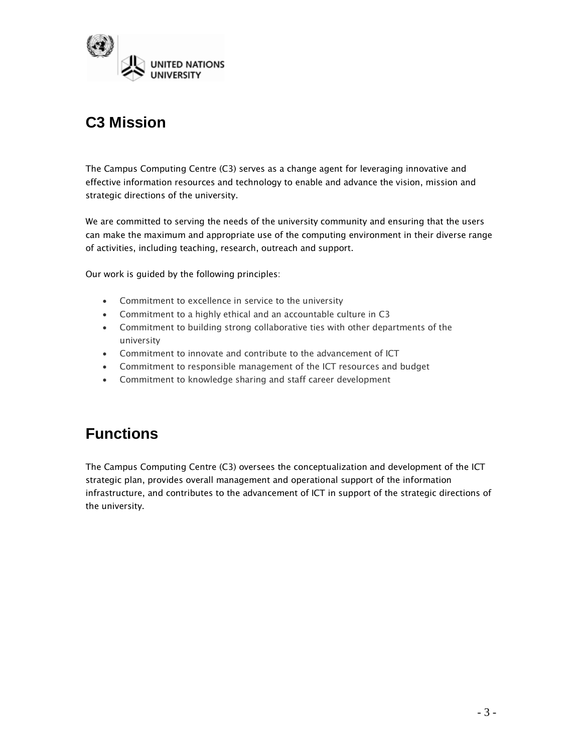

# <span id="page-2-0"></span>**C3 Mission**

The Campus Computing Centre (C3) serves as a change agent for leveraging innovative and effective information resources and technology to enable and advance the vision, mission and strategic directions of the university.

We are committed to serving the needs of the university community and ensuring that the users can make the maximum and appropriate use of the computing environment in their diverse range of activities, including teaching, research, outreach and support.

Our work is guided by the following principles:

- Commitment to excellence in service to the university
- Commitment to a highly ethical and an accountable culture in C3
- Commitment to building strong collaborative ties with other departments of the university
- Commitment to innovate and contribute to the advancement of ICT
- Commitment to responsible management of the ICT resources and budget
- Commitment to knowledge sharing and staff career development

### <span id="page-2-1"></span>**Functions**

The Campus Computing Centre (C3) oversees the conceptualization and development of the ICT strategic plan, provides overall management and operational support of the information infrastructure, and contributes to the advancement of ICT in support of the strategic directions of the university.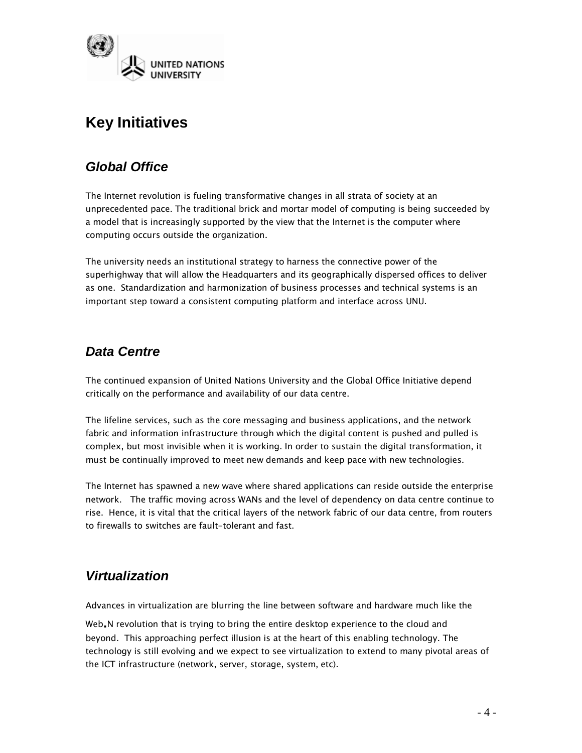

# <span id="page-3-0"></span>**Key Initiatives**

#### <span id="page-3-1"></span>*Global Office*

The Internet revolution is fueling transformative changes in all strata of society at an unprecedented pace. The traditional brick and mortar model of computing is being succeeded by a model that is increasingly supported by the view that the Internet is the computer where computing occurs outside the organization.

The university needs an institutional strategy to harness the connective power of the superhighway that will allow the Headquarters and its geographically dispersed offices to deliver as one. Standardization and harmonization of business processes and technical systems is an important step toward a consistent computing platform and interface across UNU.

#### <span id="page-3-2"></span>*Data Centre*

The continued expansion of United Nations University and the Global Office Initiative depend critically on the performance and availability of our data centre.

The lifeline services, such as the core messaging and business applications, and the network fabric and information infrastructure through which the digital content is pushed and pulled is complex, but most invisible when it is working. In order to sustain the digital transformation, it must be continually improved to meet new demands and keep pace with new technologies.

The Internet has spawned a new wave where shared applications can reside outside the enterprise network. The traffic moving across WANs and the level of dependency on data centre continue to rise. Hence, it is vital that the critical layers of the network fabric of our data centre, from routers to firewalls to switches are fault-tolerant and fast.

#### <span id="page-3-3"></span>*Virtualization*

Advances in virtualization are blurring the line between software and hardware much like the

Web. N revolution that is trying to bring the entire desktop experience to the cloud and beyond. This approaching perfect illusion is at the heart of this enabling technology. The technology is still evolving and we expect to see virtualization to extend to many pivotal areas of the ICT infrastructure (network, server, storage, system, etc).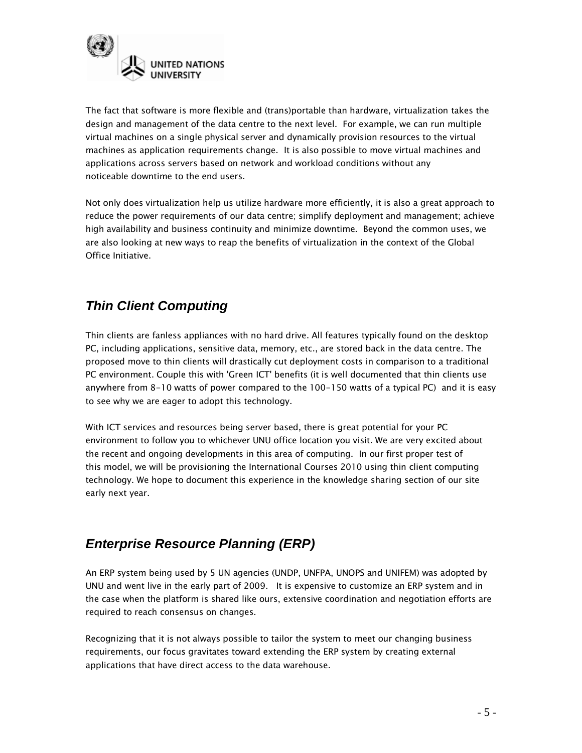

The fact that software is more flexible and (trans)portable than hardware, virtualization takes the design and management of the data centre to the next level. For example, we can run multiple virtual machines on a single physical server and dynamically provision resources to the virtual machines as application requirements change. It is also possible to move virtual machines and applications across servers based on network and workload conditions without any noticeable downtime to the end users.

Not only does virtualization help us utilize hardware more efficiently, it is also a great approach to reduce the power requirements of our data centre; simplify deployment and management; achieve high availability and business continuity and minimize downtime. Beyond the common uses, we are also looking at new ways to reap the benefits of virtualization in the context of the Global Office Initiative.

#### <span id="page-4-0"></span>*Thin Client Computing*

Thin clients are fanless appliances with no hard drive. All features typically found on the desktop PC, including applications, sensitive data, memory, etc., are stored back in the data centre. The proposed move to thin clients will drastically cut deployment costs in comparison to a traditional PC environment. Couple this with 'Green ICT' benefits (it is well documented that thin clients use anywhere from 8-10 watts of power compared to the 100-150 watts of a typical PC) and it is easy to see why we are eager to adopt this technology.

With ICT services and resources being server based, there is great potential for your PC environment to follow you to whichever UNU office location you visit. We are very excited about the recent and ongoing developments in this area of computing. In our first proper test of this model, we will be provisioning the International Courses 2010 using thin client computing technology. We hope to document this experience in the knowledge sharing section of our site early next year.

#### <span id="page-4-1"></span>*Enterprise Resource Planning (ERP)*

An ERP system being used by 5 UN agencies (UNDP, UNFPA, UNOPS and UNIFEM) was adopted by UNU and went live in the early part of 2009. It is expensive to customize an ERP system and in the case when the platform is shared like ours, extensive coordination and negotiation efforts are required to reach consensus on changes.

Recognizing that it is not always possible to tailor the system to meet our changing business requirements, our focus gravitates toward extending the ERP system by creating external applications that have direct access to the data warehouse.